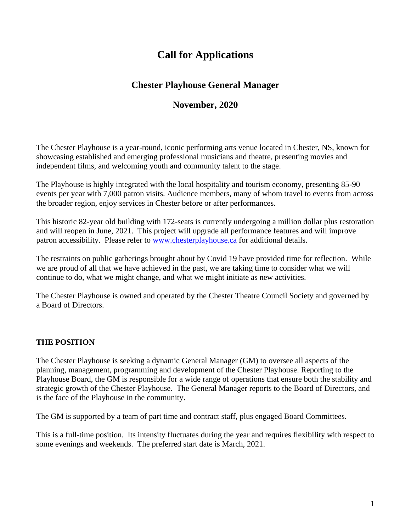# **Call for Applications**

# **Chester Playhouse General Manager**

# **November, 2020**

The Chester Playhouse is a year-round, iconic performing arts venue located in Chester, NS, known for showcasing established and emerging professional musicians and theatre, presenting movies and independent films, and welcoming youth and community talent to the stage.

The Playhouse is highly integrated with the local hospitality and tourism economy, presenting 85-90 events per year with 7,000 patron visits. Audience members, many of whom travel to events from across the broader region, enjoy services in Chester before or after performances.

This historic 82-year old building with 172-seats is currently undergoing a million dollar plus restoration and will reopen in June, 2021. This project will upgrade all performance features and will improve patron accessibility. Please refer to [www.chesterplayhouse.ca](http://www.chesterplayhouse.ca/) for additional details.

The restraints on public gatherings brought about by Covid 19 have provided time for reflection. While we are proud of all that we have achieved in the past, we are taking time to consider what we will continue to do, what we might change, and what we might initiate as new activities.

The Chester Playhouse is owned and operated by the Chester Theatre Council Society and governed by a Board of Directors.

## **THE POSITION**

The Chester Playhouse is seeking a dynamic General Manager (GM) to oversee all aspects of the planning, management, programming and development of the Chester Playhouse. Reporting to the Playhouse Board, the GM is responsible for a wide range of operations that ensure both the stability and strategic growth of the Chester Playhouse. The General Manager reports to the Board of Directors, and is the face of the Playhouse in the community.

The GM is supported by a team of part time and contract staff, plus engaged Board Committees.

This is a full-time position. Its intensity fluctuates during the year and requires flexibility with respect to some evenings and weekends. The preferred start date is March, 2021.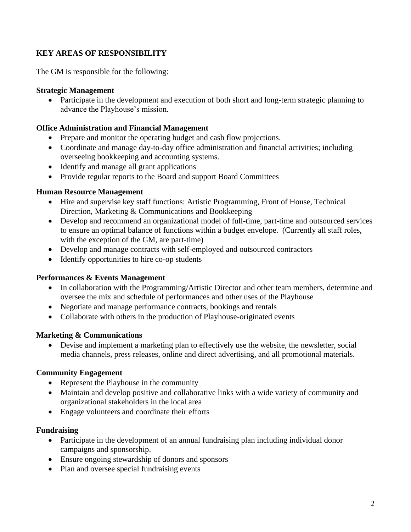## **KEY AREAS OF RESPONSIBILITY**

The GM is responsible for the following:

#### **Strategic Management**

• Participate in the development and execution of both short and long-term strategic planning to advance the Playhouse's mission.

#### **Office Administration and Financial Management**

- Prepare and monitor the operating budget and cash flow projections.
- Coordinate and manage day-to-day office administration and financial activities; including overseeing bookkeeping and accounting systems.
- Identify and manage all grant applications
- Provide regular reports to the Board and support Board Committees

#### **Human Resource Management**

- Hire and supervise key staff functions: Artistic Programming, Front of House, Technical Direction, Marketing & Communications and Bookkeeping
- Develop and recommend an organizational model of full-time, part-time and outsourced services to ensure an optimal balance of functions within a budget envelope. (Currently all staff roles, with the exception of the GM, are part-time)
- Develop and manage contracts with self-employed and outsourced contractors
- Identify opportunities to hire co-op students

#### **Performances & Events Management**

- In collaboration with the Programming/Artistic Director and other team members, determine and oversee the mix and schedule of performances and other uses of the Playhouse
- Negotiate and manage performance contracts, bookings and rentals
- Collaborate with others in the production of Playhouse-originated events

#### **Marketing & Communications**

• Devise and implement a marketing plan to effectively use the website, the newsletter, social media channels, press releases, online and direct advertising, and all promotional materials.

#### **Community Engagement**

- Represent the Playhouse in the community
- Maintain and develop positive and collaborative links with a wide variety of community and organizational stakeholders in the local area
- Engage volunteers and coordinate their efforts

#### **Fundraising**

- Participate in the development of an annual fundraising plan including individual donor campaigns and sponsorship.
- Ensure ongoing stewardship of donors and sponsors
- Plan and oversee special fundraising events